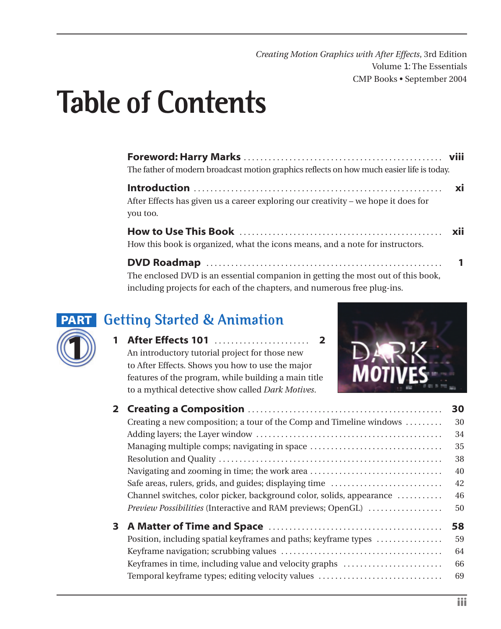*Creating Motion Graphics with After Effects*, 3rd Edition Volume 1: The Essentials CMP Books • September 2004

# **Table of Contents**

| The father of modern broadcast motion graphics reflects on how much easier life is today.      |  |
|------------------------------------------------------------------------------------------------|--|
| After Effects has given us a career exploring our creativity – we hope it does for<br>you too. |  |
| How this book is organized, what the icons means, and a note for instructors.                  |  |
|                                                                                                |  |

**DVD Roadmap** . . . . . . . . . . . . . . . . . . . . . . . . . . . . . . . . . . . . . . . . . . . . . . . . . . . . . . . . . **1** The enclosed DVD is an essential companion in getting the most out of this book, including projects for each of the chapters, and numerous free plug-ins.



#### **Getting Started & Animation**

**1 After Effects 101** . . . . . . . . . . . . . . . . . . . . . . . **2** An introductory tutorial project for those new to After Effects. Shows you how to use the major features of the program, while building a main title to a mythical detective show called *Dark Motives*.



|   |                                                                      | 30 |
|---|----------------------------------------------------------------------|----|
|   | Creating a new composition; a tour of the Comp and Timeline windows  | 30 |
|   |                                                                      | 34 |
|   | Managing multiple comps; navigating in space                         | 35 |
|   |                                                                      | 38 |
|   |                                                                      | 40 |
|   | Safe areas, rulers, grids, and guides; displaying time               | 42 |
|   | Channel switches, color picker, background color, solids, appearance | 46 |
|   | Preview Possibilities (Interactive and RAM previews; OpenGL)         | 50 |
| 3 |                                                                      | 58 |
|   | Position, including spatial keyframes and paths; keyframe types      | 59 |
|   |                                                                      | 64 |
|   | Keyframes in time, including value and velocity graphs               | 66 |
|   | Temporal keyframe types; editing velocity values                     | 69 |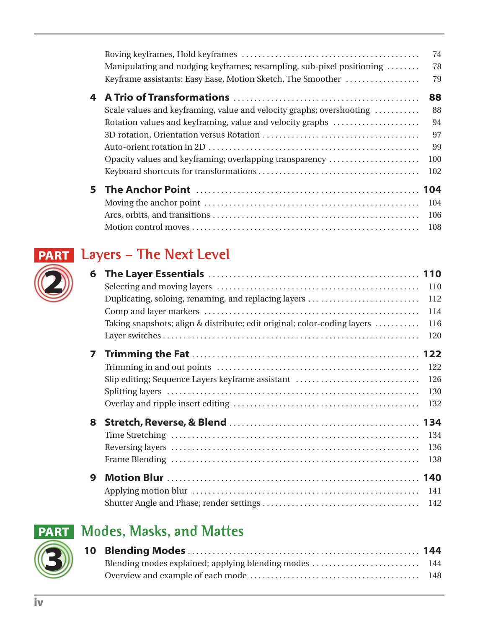|    | Manipulating and nudging keyframes; resampling, sub-pixel positioning<br>Keyframe assistants: Easy Ease, Motion Sketch, The Smoother | 74<br>78<br>79 |
|----|--------------------------------------------------------------------------------------------------------------------------------------|----------------|
| 4  |                                                                                                                                      | 88             |
|    | Scale values and keyframing, value and velocity graphs; overshooting                                                                 | 88             |
|    | Rotation values and keyframing, value and velocity graphs                                                                            | 94             |
|    |                                                                                                                                      | 97             |
|    |                                                                                                                                      | 99             |
|    | Opacity values and keyframing; overlapping transparency                                                                              | 100            |
|    |                                                                                                                                      | 102            |
| 5. |                                                                                                                                      |                |
|    |                                                                                                                                      | 104            |
|    |                                                                                                                                      | 106            |
|    |                                                                                                                                      | 108            |

# **Layers – The Next Level PART**

| 6 |                                                                          |     |
|---|--------------------------------------------------------------------------|-----|
|   |                                                                          | 110 |
|   | Duplicating, soloing, renaming, and replacing layers                     | 112 |
|   |                                                                          | 114 |
|   | Taking snapshots; align & distribute; edit original; color-coding layers | 116 |
|   |                                                                          | 120 |
| 7 |                                                                          |     |
|   |                                                                          | 122 |
|   | Slip editing; Sequence Layers keyframe assistant                         | 126 |
|   |                                                                          | 130 |
|   |                                                                          | 132 |
| 8 |                                                                          |     |
|   |                                                                          | 134 |
|   |                                                                          | 136 |
|   |                                                                          | 138 |
| 9 |                                                                          |     |
|   |                                                                          | 141 |
|   |                                                                          | 142 |

#### **Modes, Masks, and Mattes PART**



**2**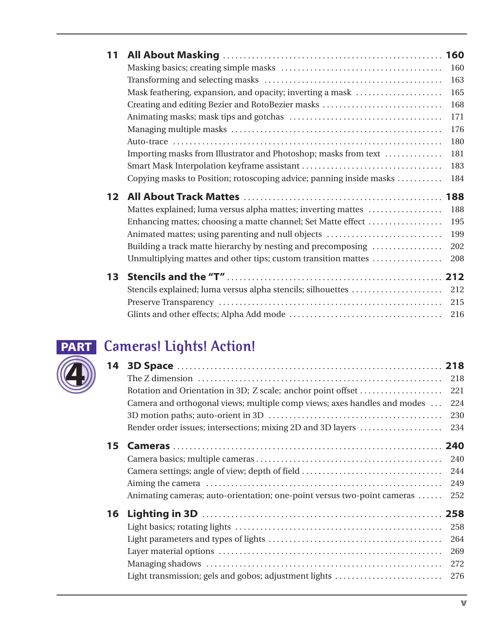| 11 |                                                                     |     |
|----|---------------------------------------------------------------------|-----|
|    |                                                                     | 160 |
|    |                                                                     | 163 |
|    | Mask feathering, expansion, and opacity; inverting a mask           | 165 |
|    | Creating and editing Bezier and RotoBezier masks                    | 168 |
|    |                                                                     | 171 |
|    |                                                                     | 176 |
|    |                                                                     | 180 |
|    | Importing masks from Illustrator and Photoshop; masks from text     | 181 |
|    |                                                                     | 183 |
|    | Copying masks to Position; rotoscoping advice; panning inside masks | 184 |
| 12 |                                                                     |     |
|    | Mattes explained; luma versus alpha mattes; inverting mattes        | 188 |
|    | Enhancing mattes; choosing a matte channel; Set Matte effect        | 195 |
|    | Animated mattes; using parenting and null objects                   | 199 |
|    | Building a track matte hierarchy by nesting and precomposing        | 202 |
|    | Unmultiplying mattes and other tips; custom transition mattes       | 208 |
| 13 |                                                                     |     |
|    | Stencils explained; luma versus alpha stencils; silhouettes         | 212 |
|    |                                                                     | 215 |
|    |                                                                     | 216 |
|    |                                                                     |     |



#### **Cameras! Lights! Action! PART**

| 14 |                                                                          |     |
|----|--------------------------------------------------------------------------|-----|
|    |                                                                          | 218 |
|    | Rotation and Orientation in 3D; Z scale; anchor point offset             | 221 |
|    | Camera and orthogonal views; multiple comp views; axes handles and modes | 224 |
|    |                                                                          | 230 |
|    | Render order issues; intersections; mixing 2D and 3D layers              | 234 |
| 15 |                                                                          |     |
|    |                                                                          | 240 |
|    | Camera settings; angle of view; depth of field                           | 244 |
|    |                                                                          | 249 |
|    | Animating cameras; auto-orientation; one-point versus two-point cameras  | 252 |
| 16 |                                                                          |     |
|    |                                                                          | 258 |
|    |                                                                          | 264 |
|    |                                                                          | 269 |
|    |                                                                          | 272 |
|    | Light transmission; gels and gobos; adjustment lights                    | 276 |
|    |                                                                          |     |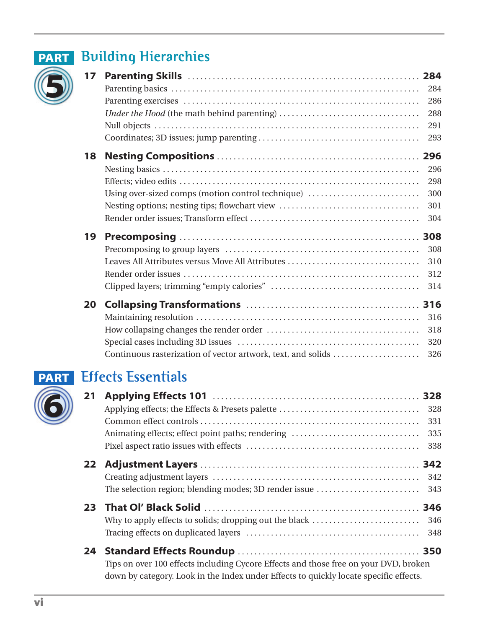

#### **PART** Building Hierarchies

| 17 |                                                   |     |
|----|---------------------------------------------------|-----|
|    |                                                   | 284 |
|    |                                                   | 286 |
|    |                                                   | 288 |
|    |                                                   | 291 |
|    |                                                   | 293 |
| 18 |                                                   |     |
|    |                                                   | 296 |
|    |                                                   | 298 |
|    | Using over-sized comps (motion control technique) | 300 |
|    | Nesting options; nesting tips; flowchart view     | 301 |
|    |                                                   | 304 |
| 19 |                                                   | 308 |
|    |                                                   | 308 |
|    | Leaves All Attributes versus Move All Attributes  | 310 |
|    |                                                   |     |
|    |                                                   | 312 |
|    |                                                   | 314 |
| 20 |                                                   | 316 |
|    |                                                   | 316 |
|    |                                                   | 318 |
|    |                                                   | 320 |

#### **Effects Essentials PART**

| 21 |                                                                                       |     |
|----|---------------------------------------------------------------------------------------|-----|
|    |                                                                                       | 328 |
|    |                                                                                       | 331 |
|    | Animating effects; effect point paths; rendering                                      | 335 |
|    |                                                                                       | 338 |
|    |                                                                                       |     |
|    |                                                                                       | 342 |
|    | The selection region; blending modes; 3D render issue                                 | 343 |
| 23 |                                                                                       |     |
|    |                                                                                       |     |
|    |                                                                                       | 348 |
|    |                                                                                       |     |
|    | Tips on over 100 effects including Cycore Effects and those free on your DVD, broken  |     |
|    | down by category. Look in the Index under Effects to quickly locate specific effects. |     |